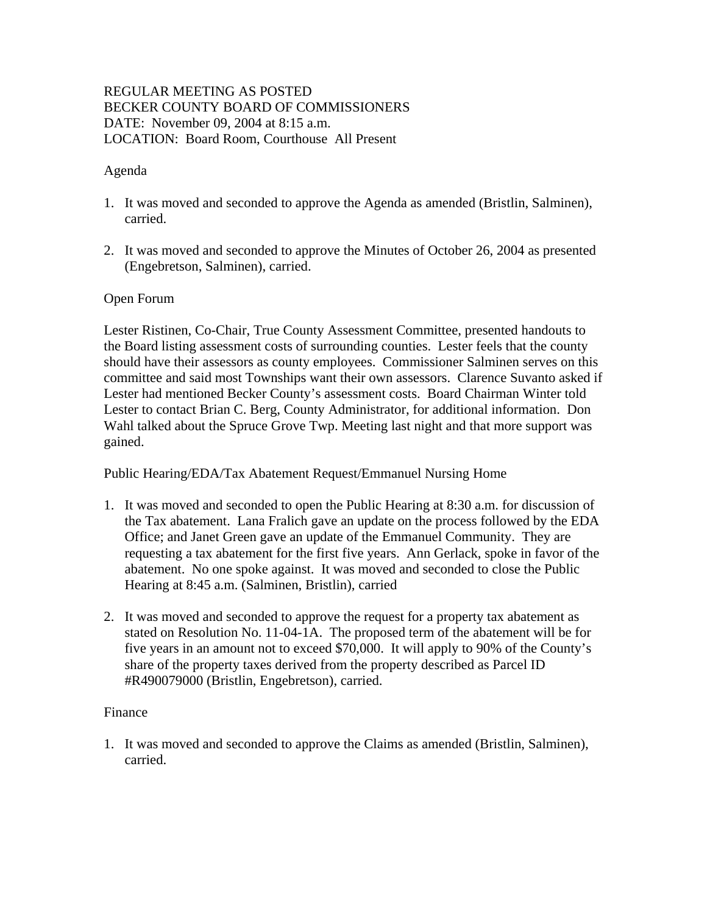# REGULAR MEETING AS POSTED BECKER COUNTY BOARD OF COMMISSIONERS DATE: November 09, 2004 at 8:15 a.m. LOCATION: Board Room, Courthouse All Present

## Agenda

- 1. It was moved and seconded to approve the Agenda as amended (Bristlin, Salminen), carried.
- 2. It was moved and seconded to approve the Minutes of October 26, 2004 as presented (Engebretson, Salminen), carried.

## Open Forum

Lester Ristinen, Co-Chair, True County Assessment Committee, presented handouts to the Board listing assessment costs of surrounding counties. Lester feels that the county should have their assessors as county employees. Commissioner Salminen serves on this committee and said most Townships want their own assessors. Clarence Suvanto asked if Lester had mentioned Becker County's assessment costs. Board Chairman Winter told Lester to contact Brian C. Berg, County Administrator, for additional information. Don Wahl talked about the Spruce Grove Twp. Meeting last night and that more support was gained.

Public Hearing/EDA/Tax Abatement Request/Emmanuel Nursing Home

- 1. It was moved and seconded to open the Public Hearing at 8:30 a.m. for discussion of the Tax abatement. Lana Fralich gave an update on the process followed by the EDA Office; and Janet Green gave an update of the Emmanuel Community. They are requesting a tax abatement for the first five years. Ann Gerlack, spoke in favor of the abatement. No one spoke against. It was moved and seconded to close the Public Hearing at 8:45 a.m. (Salminen, Bristlin), carried
- 2. It was moved and seconded to approve the request for a property tax abatement as stated on Resolution No. 11-04-1A. The proposed term of the abatement will be for five years in an amount not to exceed \$70,000. It will apply to 90% of the County's share of the property taxes derived from the property described as Parcel ID #R490079000 (Bristlin, Engebretson), carried.

#### Finance

1. It was moved and seconded to approve the Claims as amended (Bristlin, Salminen), carried.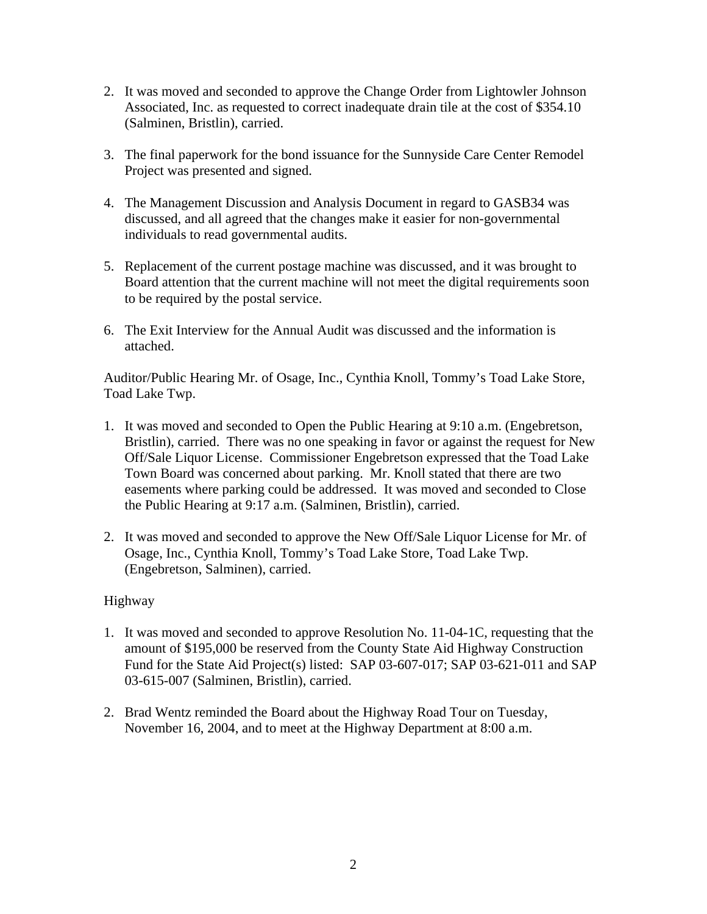- 2. It was moved and seconded to approve the Change Order from Lightowler Johnson Associated, Inc. as requested to correct inadequate drain tile at the cost of \$354.10 (Salminen, Bristlin), carried.
- 3. The final paperwork for the bond issuance for the Sunnyside Care Center Remodel Project was presented and signed.
- 4. The Management Discussion and Analysis Document in regard to GASB34 was discussed, and all agreed that the changes make it easier for non-governmental individuals to read governmental audits.
- 5. Replacement of the current postage machine was discussed, and it was brought to Board attention that the current machine will not meet the digital requirements soon to be required by the postal service.
- 6. The Exit Interview for the Annual Audit was discussed and the information is attached.

Auditor/Public Hearing Mr. of Osage, Inc., Cynthia Knoll, Tommy's Toad Lake Store, Toad Lake Twp.

- 1. It was moved and seconded to Open the Public Hearing at 9:10 a.m. (Engebretson, Bristlin), carried. There was no one speaking in favor or against the request for New Off/Sale Liquor License. Commissioner Engebretson expressed that the Toad Lake Town Board was concerned about parking. Mr. Knoll stated that there are two easements where parking could be addressed. It was moved and seconded to Close the Public Hearing at 9:17 a.m. (Salminen, Bristlin), carried.
- 2. It was moved and seconded to approve the New Off/Sale Liquor License for Mr. of Osage, Inc., Cynthia Knoll, Tommy's Toad Lake Store, Toad Lake Twp. (Engebretson, Salminen), carried.

# Highway

- 1. It was moved and seconded to approve Resolution No. 11-04-1C, requesting that the amount of \$195,000 be reserved from the County State Aid Highway Construction Fund for the State Aid Project(s) listed: SAP 03-607-017; SAP 03-621-011 and SAP 03-615-007 (Salminen, Bristlin), carried.
- 2. Brad Wentz reminded the Board about the Highway Road Tour on Tuesday, November 16, 2004, and to meet at the Highway Department at 8:00 a.m.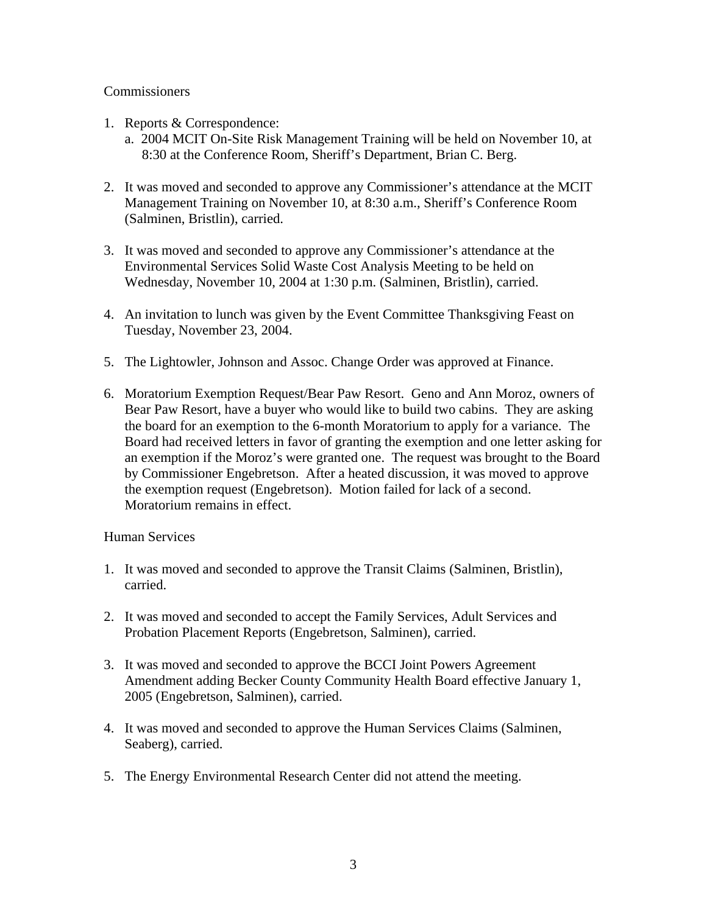## **Commissioners**

- 1. Reports & Correspondence:
	- a. 2004 MCIT On-Site Risk Management Training will be held on November 10, at 8:30 at the Conference Room, Sheriff's Department, Brian C. Berg.
- 2. It was moved and seconded to approve any Commissioner's attendance at the MCIT Management Training on November 10, at 8:30 a.m., Sheriff's Conference Room (Salminen, Bristlin), carried.
- 3. It was moved and seconded to approve any Commissioner's attendance at the Environmental Services Solid Waste Cost Analysis Meeting to be held on Wednesday, November 10, 2004 at 1:30 p.m. (Salminen, Bristlin), carried.
- 4. An invitation to lunch was given by the Event Committee Thanksgiving Feast on Tuesday, November 23, 2004.
- 5. The Lightowler, Johnson and Assoc. Change Order was approved at Finance.
- 6. Moratorium Exemption Request/Bear Paw Resort. Geno and Ann Moroz, owners of Bear Paw Resort, have a buyer who would like to build two cabins. They are asking the board for an exemption to the 6-month Moratorium to apply for a variance. The Board had received letters in favor of granting the exemption and one letter asking for an exemption if the Moroz's were granted one. The request was brought to the Board by Commissioner Engebretson. After a heated discussion, it was moved to approve the exemption request (Engebretson). Motion failed for lack of a second. Moratorium remains in effect.

#### Human Services

- 1. It was moved and seconded to approve the Transit Claims (Salminen, Bristlin), carried.
- 2. It was moved and seconded to accept the Family Services, Adult Services and Probation Placement Reports (Engebretson, Salminen), carried.
- 3. It was moved and seconded to approve the BCCI Joint Powers Agreement Amendment adding Becker County Community Health Board effective January 1, 2005 (Engebretson, Salminen), carried.
- 4. It was moved and seconded to approve the Human Services Claims (Salminen, Seaberg), carried.
- 5. The Energy Environmental Research Center did not attend the meeting.